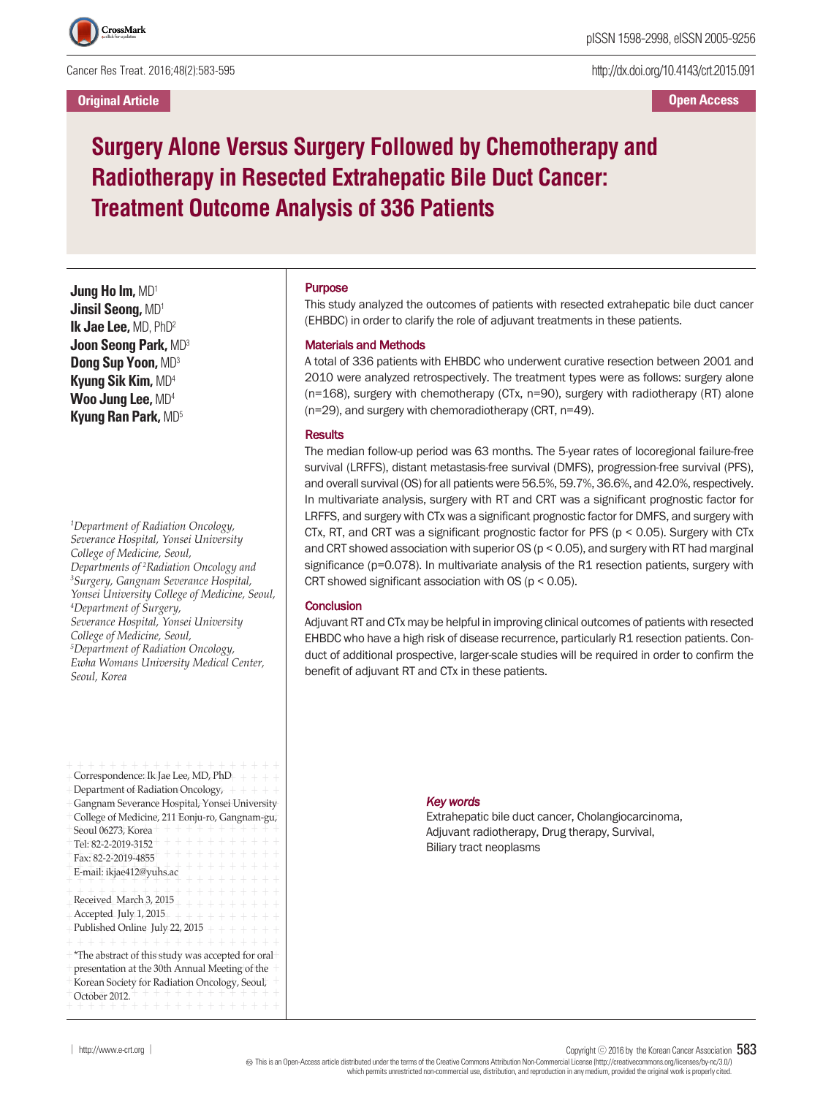

Cancer Res Treat. 2016;48(2):583-595

**Original Article**

http://dx.doi.org/10.4143/crt.2015.091

**Open Access**

# **Surgery Alone Versus Surgery Followed by Chemotherapy and Radiotherapy in Resected Extrahepatic Bile Duct Cancer: Treatment Outcome Analysis of 336 Patients**

**Jung Ho Im,** MD1 **Jinsil Seong,** MD1 **Ik Jae Lee,** MD, PhD2 **Joon Seong Park,** MD3 **Dong Sup Yoon,** MD3 **Kyung Sik Kim,** MD4 **Woo Jung Lee,** MD4 **Kyung Ran Park,** MD5

*1 Department of Radiation Oncology, Severance Hospital, Yonsei University College of Medicine, Seoul, Departments of <sup>2</sup> Radiation Oncology and 3 Surgery, Gangnam Severance Hospital, Yonsei University College of Medicine, Seoul, 4 Department of Surgery, Severance Hospital, Yonsei University College of Medicine, Seoul, 5 Department of Radiation Oncology, Ewha Womans University Medical Center, Seoul, Korea*

| + + + + + + + + + + + +<br>Correspondence: Ik Jae Lee, MD, PhD<br>Department of Radiation Oncology <sub><math>r</math></sub> + + + +<br>Gangnam Severance Hospital, Yonsei University<br>College of Medicine, 211 Eonju-ro, Gangnam-gu,<br>$+ + + + +$<br>Seoul 06273, Korea<br>+ + + + + + + +<br>Tel: 82-2-2019-3152 |
|------------------------------------------------------------------------------------------------------------------------------------------------------------------------------------------------------------------------------------------------------------------------------------------------------------------------|
| $\perp$<br>$\overline{+}$<br>$+$<br>Fax: 82-2-2019-4855<br>$\!+$<br>$\overline{+}$<br>$\overline{+}$<br>E-mail: ikjae412@yuhs.ac<br>$\!+$<br>$+ +$<br>$+ +$<br>$+ + + +$<br>$\!$                                                                                                                                       |
| Received March 3, 2015<br>$+ + + +$<br>Accepted July 1, 2015<br>$+ + + +$<br>$+ +$<br>Published Online July 22, 2015<br>$+ + + +$<br>÷<br>+ + + + + + + + + + + +<br>$\perp$<br>$\perp$<br>$\pm$                                                                                                                       |
| *The abstract of this study was accepted for oral+<br>presentation at the 30th Annual Meeting of the<br>Korean Society for Radiation Oncology, Seoul,<br>$+ +$<br>October 2012.<br>+ + + + + + +                                                                                                                       |

## Purpose

This study analyzed the outcomes of patients with resected extrahepatic bile duct cancer (EHBDC) in order to clarify the role of adjuvant treatments in these patients.

#### Materials and Methods

A total of 336 patients with EHBDC who underwent curative resection between 2001 and 2010 were analyzed retrospectively. The treatment types were as follows: surgery alone (n=168), surgery with chemotherapy (CTx, n=90), surgery with radiotherapy (RT) alone (n=29), and surgery with chemoradiotherapy (CRT, n=49).

#### **Results**

The median follow-up period was 63 months. The 5-year rates of locoregional failure-free survival (LRFFS), distant metastasis-free survival (DMFS), progression-free survival (PFS), and overall survival (OS) for all patients were 56.5%, 59.7%, 36.6%, and 42.0%, respectively. In multivariate analysis, surgery with RT and CRT was a significant prognostic factor for LRFFS, and surgery with CTx was a significant prognostic factor for DMFS, and surgery with CTx, RT, and CRT was a significant prognostic factor for PFS (p < 0.05). Surgery with CTx and CRT showed association with superior OS ( $p < 0.05$ ), and surgery with RT had marginal significance (p=0.078). In multivariate analysis of the R1 resection patients, surgery with CRT showed significant association with OS ( $p < 0.05$ ).

## **Conclusion**

Adjuvant RT and CTx may be helpful in improving clinical outcomes of patients with resected EHBDC who have a high risk of disease recurrence, particularly R1 resection patients. Conduct of additional prospective, larger-scale studies will be required in order to confirm the benefit of adjuvant RT and CTx in these patients.

*Key words*

Extrahepatic bile duct cancer, Cholangiocarcinoma, Adjuvant radiotherapy, Drug therapy, Survival, Biliary tract neoplasms

│ http://www.e-crt.org │ Copyright ⓒ <sup>2016</sup> by the Korean Cancer Association 583

Thisis an Open-Access article distributed under the terms of the Creative Commons Attribution Non-CommercialLicense (http://creativecommons.org/licenses/by-nc/3.0/) which permits unrestricted non-commercial use, distribution, and reproduction in any medium, provided the original work is properly cited.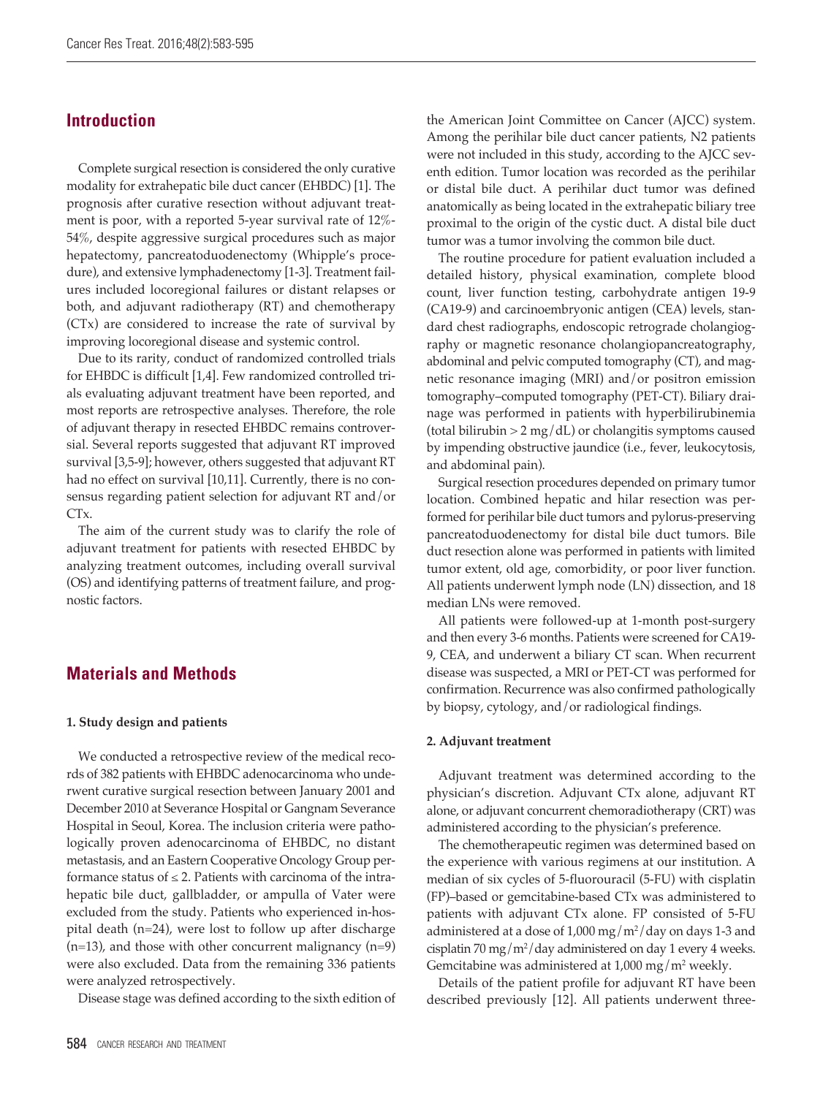## **Introduction**

Complete surgical resection is considered the only curative modality for extrahepatic bile duct cancer (EHBDC) [1]. The prognosis after curative resection without adjuvant treatment is poor, with a reported 5-year survival rate of 12%- 54%, despite aggressive surgical procedures such as major hepatectomy, pancreatoduodenectomy (Whipple's procedure), and extensive lymphadenectomy [1-3]. Treatment failures included locoregional failures or distant relapses or both, and adjuvant radiotherapy (RT) and chemotherapy (CTx) are considered to increase the rate of survival by improving locoregional disease and systemic control.

Due to its rarity, conduct of randomized controlled trials for EHBDC is difficult [1,4]. Few randomized controlled trials evaluating adjuvant treatment have been reported, and most reports are retrospective analyses. Therefore, the role of adjuvant therapy in resected EHBDC remains controversial. Several reports suggested that adjuvant RT improved survival [3,5-9]; however, others suggested that adjuvant RT had no effect on survival [10,11]. Currently, there is no consensus regarding patient selection for adjuvant RT and/or CTx.

The aim of the current study was to clarify the role of adjuvant treatment for patients with resected EHBDC by analyzing treatment outcomes, including overall survival (OS) and identifying patterns of treatment failure, and prognostic factors.

# **Materials and Methods**

## **1. Study design and patients**

We conducted a retrospective review of the medical records of 382 patients with EHBDC adenocarcinoma who underwent curative surgical resection between January 2001 and December 2010 at Severance Hospital or Gangnam Severance Hospital in Seoul, Korea. The inclusion criteria were pathologically proven adenocarcinoma of EHBDC, no distant metastasis, and an Eastern Cooperative Oncology Group performance status of  $\leq$  2. Patients with carcinoma of the intrahepatic bile duct, gallbladder, or ampulla of Vater were excluded from the study. Patients who experienced in-hospital death (n=24), were lost to follow up after discharge (n=13), and those with other concurrent malignancy (n=9) were also excluded. Data from the remaining 336 patients were analyzed retrospectively.

Disease stage was defined according to the sixth edition of

the American Joint Committee on Cancer (AJCC) system. Among the perihilar bile duct cancer patients, N2 patients were not included in this study, according to the AJCC seventh edition. Tumor location was recorded as the perihilar or distal bile duct. A perihilar duct tumor was defined anatomically as being located in the extrahepatic biliary tree proximal to the origin of the cystic duct. A distal bile duct tumor was a tumor involving the common bile duct.

The routine procedure for patient evaluation included a detailed history, physical examination, complete blood count, liver function testing, carbohydrate antigen 19-9 (CA19-9) and carcinoembryonic antigen (CEA) levels, standard chest radiographs, endoscopic retrograde cholangiography or magnetic resonance cholangiopancreatography, abdominal and pelvic computed tomography (CT), and magnetic resonance imaging (MRI) and/or positron emission tomography–computed tomography (PET-CT). Biliary drainage was performed in patients with hyperbilirubinemia (total bilirubin  $> 2$  mg/dL) or cholangitis symptoms caused by impending obstructive jaundice (i.e., fever, leukocytosis, and abdominal pain).

Surgical resection procedures depended on primary tumor location. Combined hepatic and hilar resection was performed for perihilar bile duct tumors and pylorus-preserving pancreatoduodenectomy for distal bile duct tumors. Bile duct resection alone was performed in patients with limited tumor extent, old age, comorbidity, or poor liver function. All patients underwent lymph node (LN) dissection, and 18 median LNs were removed.

All patients were followed-up at 1-month post-surgery and then every 3-6 months. Patients were screened for CA19- 9, CEA, and underwent a biliary CT scan. When recurrent disease was suspected, a MRI or PET-CT was performed for confirmation. Recurrence was also confirmed pathologically by biopsy, cytology, and/or radiological findings.

## **2. Adjuvant treatment**

Adjuvant treatment was determined according to the physician's discretion. Adjuvant CTx alone, adjuvant RT alone, or adjuvant concurrent chemoradiotherapy (CRT) was administered according to the physician's preference.

The chemotherapeutic regimen was determined based on the experience with various regimens at our institution. A median of six cycles of 5-fluorouracil (5-FU) with cisplatin (FP)–based or gemcitabine-based CTx was administered to patients with adjuvant CTx alone. FP consisted of 5-FU administered at a dose of 1,000 mg/m<sup>2</sup>/day on days 1-3 and cisplatin 70 mg/m<sup>2</sup>/day administered on day 1 every 4 weeks. Gemcitabine was administered at  $1,000$  mg/m<sup>2</sup> weekly.

Details of the patient profile for adjuvant RT have been described previously [12]. All patients underwent three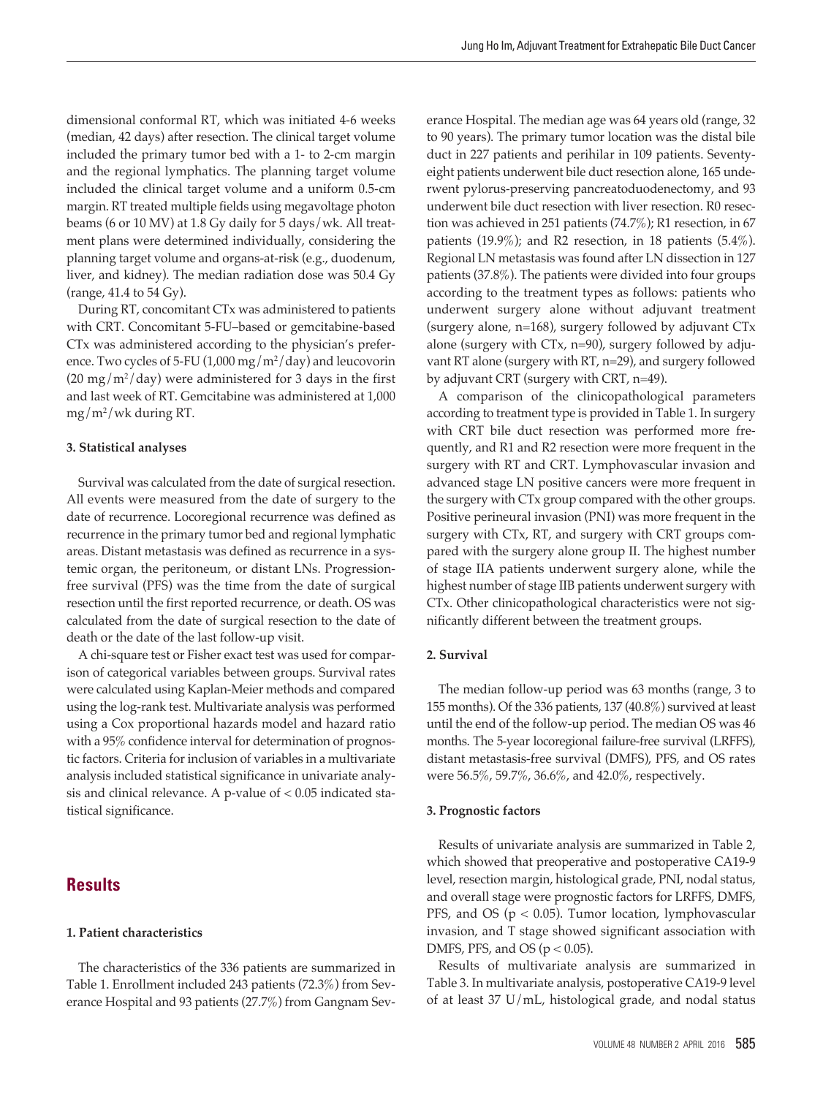dimensional conformal RT, which was initiated 4-6 weeks (median, 42 days) after resection. The clinical target volume included the primary tumor bed with a 1- to 2-cm margin and the regional lymphatics. The planning target volume included the clinical target volume and a uniform 0.5-cm margin. RT treated multiple fields using megavoltage photon beams (6 or 10 MV) at 1.8 Gy daily for 5 days/wk. All treatment plans were determined individually, considering the planning target volume and organs-at-risk (e.g., duodenum, liver, and kidney). The median radiation dose was 50.4 Gy (range, 41.4 to 54 Gy).

During RT, concomitant CTx was administered to patients with CRT. Concomitant 5-FU–based or gemcitabine-based CTx was administered according to the physician's preference. Two cycles of 5-FU (1,000 mg/m²/day) and leucovorin  $(20 \text{ mg/m}^2/\text{day})$  were administered for 3 days in the first and last week of RT. Gemcitabine was administered at 1,000 mg/m2 /wk during RT.

#### **3. Statistical analyses**

Survival was calculated from the date of surgical resection. All events were measured from the date of surgery to the date of recurrence. Locoregional recurrence was defined as recurrence in the primary tumor bed and regional lymphatic areas. Distant metastasis was defined as recurrence in a systemic organ, the peritoneum, or distant LNs. Progressionfree survival (PFS) was the time from the date of surgical resection until the first reported recurrence, or death. OS was calculated from the date of surgical resection to the date of death or the date of the last follow-up visit.

A chi-square test or Fisher exact test was used for comparison of categorical variables between groups. Survival rates were calculated using Kaplan-Meier methods and compared using the log-rank test. Multivariate analysis was performed using a Cox proportional hazards model and hazard ratio with a 95% confidence interval for determination of prognostic factors. Criteria for inclusion of variables in a multivariate analysis included statistical significance in univariate analysis and clinical relevance. A p-value of  $< 0.05$  indicated statistical significance.

# **Results**

## **1. Patient characteristics**

The characteristics of the 336 patients are summarized in Table 1. Enrollment included 243 patients (72.3%) from Severance Hospital and 93 patients (27.7%) from Gangnam Severance Hospital. The median age was 64 years old (range, 32 to 90 years). The primary tumor location was the distal bile duct in 227 patients and perihilar in 109 patients. Seventyeight patients underwent bile duct resection alone, 165 underwent pylorus-preserving pancreatoduodenectomy, and 93 underwent bile duct resection with liver resection. R0 resection was achieved in 251 patients (74.7%); R1 resection, in 67 patients (19.9%); and R2 resection, in 18 patients (5.4%). Regional LN metastasis was found after LN dissection in 127 patients (37.8%). The patients were divided into four groups according to the treatment types as follows: patients who underwent surgery alone without adjuvant treatment (surgery alone, n=168), surgery followed by adjuvant CTx alone (surgery with CTx, n=90), surgery followed by adjuvant RT alone (surgery with RT, n=29), and surgery followed by adjuvant CRT (surgery with CRT, n=49).

A comparison of the clinicopathological parameters according to treatment type is provided in Table 1. In surgery with CRT bile duct resection was performed more frequently, and R1 and R2 resection were more frequent in the surgery with RT and CRT. Lymphovascular invasion and advanced stage LN positive cancers were more frequent in the surgery with CTx group compared with the other groups. Positive perineural invasion (PNI) was more frequent in the surgery with CTx, RT, and surgery with CRT groups compared with the surgery alone group II. The highest number of stage IIA patients underwent surgery alone, while the highest number of stage IIB patients underwent surgery with CTx. Other clinicopathological characteristics were not significantly different between the treatment groups.

## **2. Survival**

The median follow-up period was 63 months (range, 3 to 155 months). Of the 336 patients, 137 (40.8%) survived at least until the end of the follow-up period. The median OS was 46 months. The 5-year locoregional failure-free survival (LRFFS), distant metastasis-free survival (DMFS), PFS, and OS rates were 56.5%, 59.7%, 36.6%, and 42.0%, respectively.

#### **3. Prognostic factors**

Results of univariate analysis are summarized in Table 2, which showed that preoperative and postoperative CA19-9 level, resection margin, histological grade, PNI, nodal status, and overall stage were prognostic factors for LRFFS, DMFS, PFS, and OS ( $p < 0.05$ ). Tumor location, lymphovascular invasion, and T stage showed significant association with DMFS, PFS, and OS ( $p < 0.05$ ).

Results of multivariate analysis are summarized in Table 3. In multivariate analysis, postoperative CA19-9 level of at least 37 U/mL, histological grade, and nodal status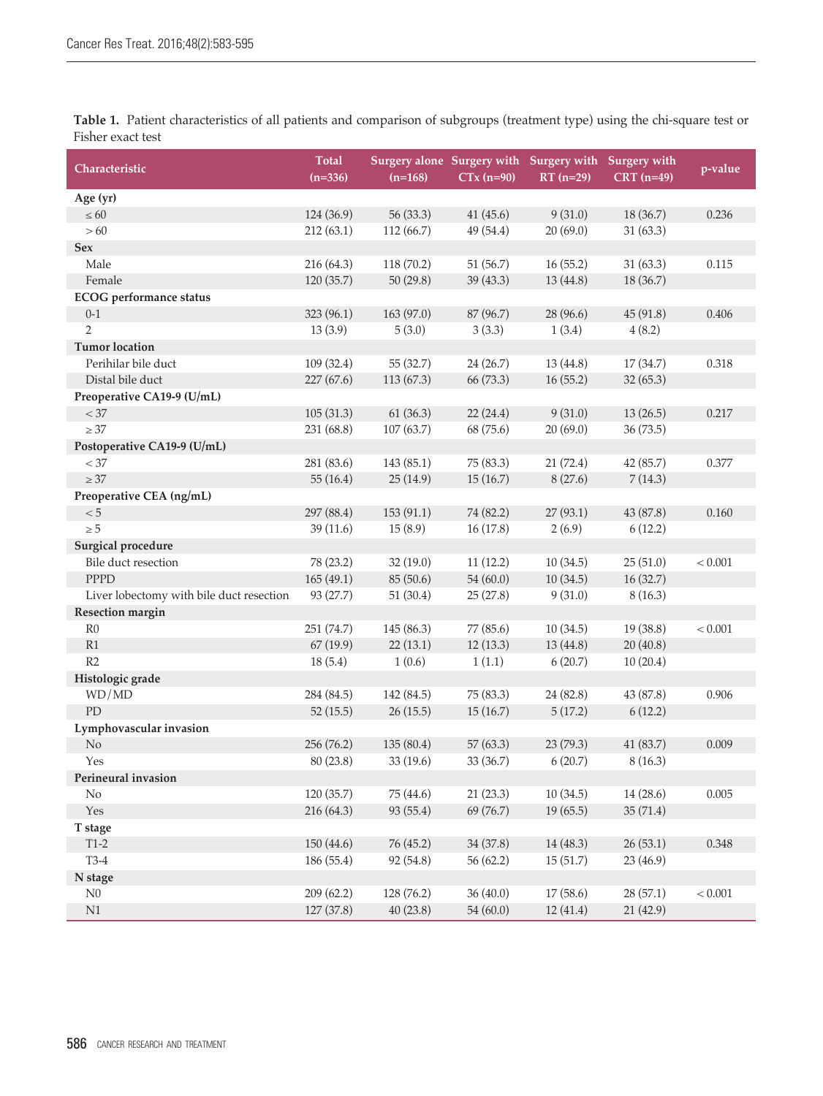**Table 1.** Patient characteristics of all patients and comparison of subgroups (treatment type) using the chi-square test or Fisher exact test

| Characteristic                           | <b>Total</b><br>$(n=336)$ | Surgery alone Surgery with Surgery with Surgery with<br>$(n=168)$ | $CTx$ (n=90) | $RT(n=29)$ | $CRT (n=49)$ | p-value |
|------------------------------------------|---------------------------|-------------------------------------------------------------------|--------------|------------|--------------|---------|
| Age (yr)                                 |                           |                                                                   |              |            |              |         |
| $\leq 60$                                | 124 (36.9)                | 56 (33.3)                                                         | 41(45.6)     | 9(31.0)    | 18 (36.7)    | 0.236   |
| >60                                      | 212(63.1)                 | 112(66.7)                                                         | 49 (54.4)    | 20(69.0)   | 31(63.3)     |         |
| Sex                                      |                           |                                                                   |              |            |              |         |
| Male                                     | 216 (64.3)                | 118 (70.2)                                                        | 51(56.7)     | 16(55.2)   | 31(63.3)     | 0.115   |
| Female                                   | 120 (35.7)                | 50(29.8)                                                          | 39 (43.3)    | 13(44.8)   | 18 (36.7)    |         |
| <b>ECOG</b> performance status           |                           |                                                                   |              |            |              |         |
| $0 - 1$                                  | 323 (96.1)                | 163 (97.0)                                                        | 87 (96.7)    | 28 (96.6)  | 45(91.8)     | 0.406   |
| $\overline{2}$                           | 13(3.9)                   | 5(3.0)                                                            | 3(3.3)       | 1(3.4)     | 4(8.2)       |         |
| <b>Tumor</b> location                    |                           |                                                                   |              |            |              |         |
| Perihilar bile duct                      | 109 (32.4)                | 55 (32.7)                                                         | 24 (26.7)    | 13 (44.8)  | 17(34.7)     | 0.318   |
| Distal bile duct                         | 227 (67.6)                | 113(67.3)                                                         | 66 (73.3)    | 16(55.2)   | 32(65.3)     |         |
| Preoperative CA19-9 (U/mL)               |                           |                                                                   |              |            |              |         |
| $< 37\,$                                 | 105(31.3)                 | 61(36.3)                                                          | 22(24.4)     | 9(31.0)    | 13(26.5)     | 0.217   |
| $\geq 37$                                | 231 (68.8)                | 107(63.7)                                                         | 68 (75.6)    | 20(69.0)   | 36(73.5)     |         |
| Postoperative CA19-9 (U/mL)              |                           |                                                                   |              |            |              |         |
| $< 37\,$                                 | 281 (83.6)                | 143 (85.1)                                                        | 75 (83.3)    | 21(72.4)   | 42 (85.7)    | 0.377   |
| $\geq 37$                                | 55(16.4)                  | 25(14.9)                                                          | 15(16.7)     | 8(27.6)    | 7(14.3)      |         |
| Preoperative CEA (ng/mL)                 |                           |                                                                   |              |            |              |         |
| $< 5\,$                                  | 297 (88.4)                | 153 (91.1)                                                        | 74 (82.2)    | 27(93.1)   | 43 (87.8)    | 0.160   |
| $\geq 5$                                 | 39(11.6)                  | 15(8.9)                                                           | 16(17.8)     | 2(6.9)     | 6(12.2)      |         |
| <b>Surgical procedure</b>                |                           |                                                                   |              |            |              |         |
| Bile duct resection                      | 78 (23.2)                 | 32(19.0)                                                          | 11(12.2)     | 10(34.5)   | 25(51.0)     | < 0.001 |
| <b>PPPD</b>                              | 165(49.1)                 | 85 (50.6)                                                         | 54(60.0)     | 10(34.5)   | 16(32.7)     |         |
| Liver lobectomy with bile duct resection | 93 (27.7)                 | 51(30.4)                                                          | 25(27.8)     | 9(31.0)    | 8(16.3)      |         |
| Resection margin                         |                           |                                                                   |              |            |              |         |
| R0                                       | 251 (74.7)                | 145 (86.3)                                                        | 77 (85.6)    | 10(34.5)   | 19 (38.8)    | < 0.001 |
| R1                                       | 67(19.9)                  | 22(13.1)                                                          | 12(13.3)     | 13 (44.8)  | 20(40.8)     |         |
| R2                                       | 18(5.4)                   | 1(0.6)                                                            | 1(1.1)       | 6(20.7)    | 10(20.4)     |         |
| Histologic grade                         |                           |                                                                   |              |            |              |         |
| WD/MD                                    | 284 (84.5)                | 142 (84.5)                                                        | 75 (83.3)    | 24 (82.8)  | 43 (87.8)    | 0.906   |
| PD                                       | 52(15.5)                  | 26(15.5)                                                          | 15(16.7)     | 5(17.2)    | 6(12.2)      |         |
| Lymphovascular invasion                  |                           |                                                                   |              |            |              |         |
| No                                       | 256 (76.2)                | 135 (80.4)                                                        | 57(63.3)     | 23 (79.3)  | 41 (83.7)    | 0.009   |
| Yes                                      | 80 (23.8)                 | 33 (19.6)                                                         | 33 (36.7)    | 6(20.7)    | 8(16.3)      |         |
| Perineural invasion                      |                           |                                                                   |              |            |              |         |
| No                                       | 120 (35.7)                | 75 (44.6)                                                         | 21(23.3)     | 10(34.5)   | 14(28.6)     | 0.005   |
| Yes                                      | 216 (64.3)                | 93 (55.4)                                                         | 69 (76.7)    | 19(65.5)   | 35(71.4)     |         |
| T stage                                  |                           |                                                                   |              |            |              |         |
| $T1-2$                                   | 150 (44.6)                | 76 (45.2)                                                         | 34 (37.8)    | 14 (48.3)  | 26(53.1)     | 0.348   |
| $T3-4$                                   | 186 (55.4)                | 92 (54.8)                                                         | 56 (62.2)    | 15(51.7)   | 23 (46.9)    |         |
| N stage                                  |                           |                                                                   |              |            |              |         |
| ${\rm N}0$                               | 209(62.2)                 | 128 (76.2)                                                        | 36(40.0)     | 17(58.6)   | 28(57.1)     | < 0.001 |
| $\rm N1$                                 | 127 (37.8)                | 40 (23.8)                                                         | 54(60.0)     | 12 (41.4)  | 21 (42.9)    |         |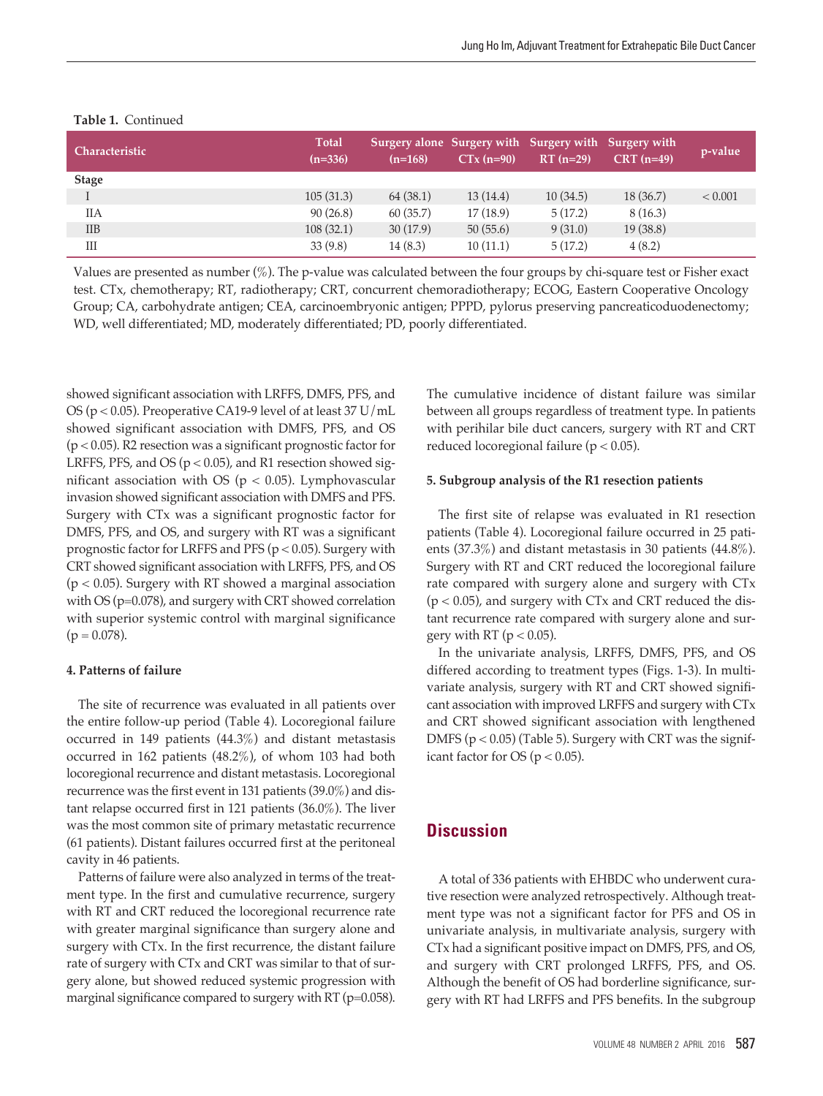| l Characteristic ' | <b>Total</b><br>$(n=336)$ | Surgery alone Surgery with Surgery with Surgery with<br>$(n=168)$ | $CTx (n=90)$ | $RT(n=29)$ | $CRT (n=49)$ | p-value |
|--------------------|---------------------------|-------------------------------------------------------------------|--------------|------------|--------------|---------|
| <b>Stage</b>       |                           |                                                                   |              |            |              |         |
|                    | 105(31.3)                 | 64 (38.1)                                                         | 13(14.4)     | 10(34.5)   | 18(36.7)     | < 0.001 |
| IIА                | 90(26.8)                  | 60(35.7)                                                          | 17(18.9)     | 5(17.2)    | 8(16.3)      |         |
| $_{\text{IIB}}$    | 108(32.1)                 | 30(17.9)                                                          | 50(55.6)     | 9(31.0)    | 19(38.8)     |         |
| Ш                  | 33(9.8)                   | 14(8.3)                                                           | 10(11.1)     | 5(17.2)    | 4(8.2)       |         |

## **Table 1.** Continued

Values are presented as number (%). The p-value was calculated between the four groups by chi-square test or Fisher exact test. CTx, chemotherapy; RT, radiotherapy; CRT, concurrent chemoradiotherapy; ECOG, Eastern Cooperative Oncology Group; CA, carbohydrate antigen; CEA, carcinoembryonic antigen; PPPD, pylorus preserving pancreaticoduodenectomy; WD, well differentiated; MD, moderately differentiated; PD, poorly differentiated.

showed significant association with LRFFS, DMFS, PFS, and OS (p < 0.05). Preoperative CA19-9 level of at least 37 U/mL showed significant association with DMFS, PFS, and OS (p < 0.05). R2 resection was a significant prognostic factor for LRFFS, PFS, and OS ( $p < 0.05$ ), and R1 resection showed significant association with OS ( $p < 0.05$ ). Lymphovascular invasion showed significant association with DMFS and PFS. Surgery with CTx was a significant prognostic factor for DMFS, PFS, and OS, and surgery with RT was a significant prognostic factor for LRFFS and PFS ( $p < 0.05$ ). Surgery with CRT showed significant association with LRFFS, PFS, and OS  $(p < 0.05)$ . Surgery with RT showed a marginal association with OS (p=0.078), and surgery with CRT showed correlation with superior systemic control with marginal significance  $(p = 0.078)$ .

## **4. Patterns of failure**

The site of recurrence was evaluated in all patients over the entire follow-up period (Table 4). Locoregional failure occurred in 149 patients (44.3%) and distant metastasis occurred in 162 patients (48.2%), of whom 103 had both locoregional recurrence and distant metastasis. Locoregional recurrence was the first event in 131 patients (39.0%) and distant relapse occurred first in 121 patients (36.0%). The liver was the most common site of primary metastatic recurrence (61 patients). Distant failures occurred first at the peritoneal cavity in 46 patients.

Patterns of failure were also analyzed in terms of the treatment type. In the first and cumulative recurrence, surgery with RT and CRT reduced the locoregional recurrence rate with greater marginal significance than surgery alone and surgery with CTx. In the first recurrence, the distant failure rate of surgery with CTx and CRT was similar to that of surgery alone, but showed reduced systemic progression with marginal significance compared to surgery with RT (p=0.058).

The cumulative incidence of distant failure was similar between all groups regardless of treatment type. In patients with perihilar bile duct cancers, surgery with RT and CRT reduced locoregional failure (p < 0.05).

## **5. Subgroup analysis of the R1 resection patients**

The first site of relapse was evaluated in R1 resection patients (Table 4). Locoregional failure occurred in 25 patients (37.3%) and distant metastasis in 30 patients (44.8%). Surgery with RT and CRT reduced the locoregional failure rate compared with surgery alone and surgery with CTx  $(p < 0.05)$ , and surgery with CTx and CRT reduced the distant recurrence rate compared with surgery alone and surgery with RT ( $p < 0.05$ ).

In the univariate analysis, LRFFS, DMFS, PFS, and OS differed according to treatment types (Figs. 1-3). In multivariate analysis, surgery with RT and CRT showed significant association with improved LRFFS and surgery with CTx and CRT showed significant association with lengthened DMFS ( $p < 0.05$ ) (Table 5). Surgery with CRT was the significant factor for OS ( $p < 0.05$ ).

# **Discussion**

A total of 336 patients with EHBDC who underwent curative resection were analyzed retrospectively. Although treatment type was not a significant factor for PFS and OS in univariate analysis, in multivariate analysis, surgery with CTx had a significant positive impact on DMFS, PFS, and OS, and surgery with CRT prolonged LRFFS, PFS, and OS. Although the benefit of OS had borderline significance, surgery with RT had LRFFS and PFS benefits. In the subgroup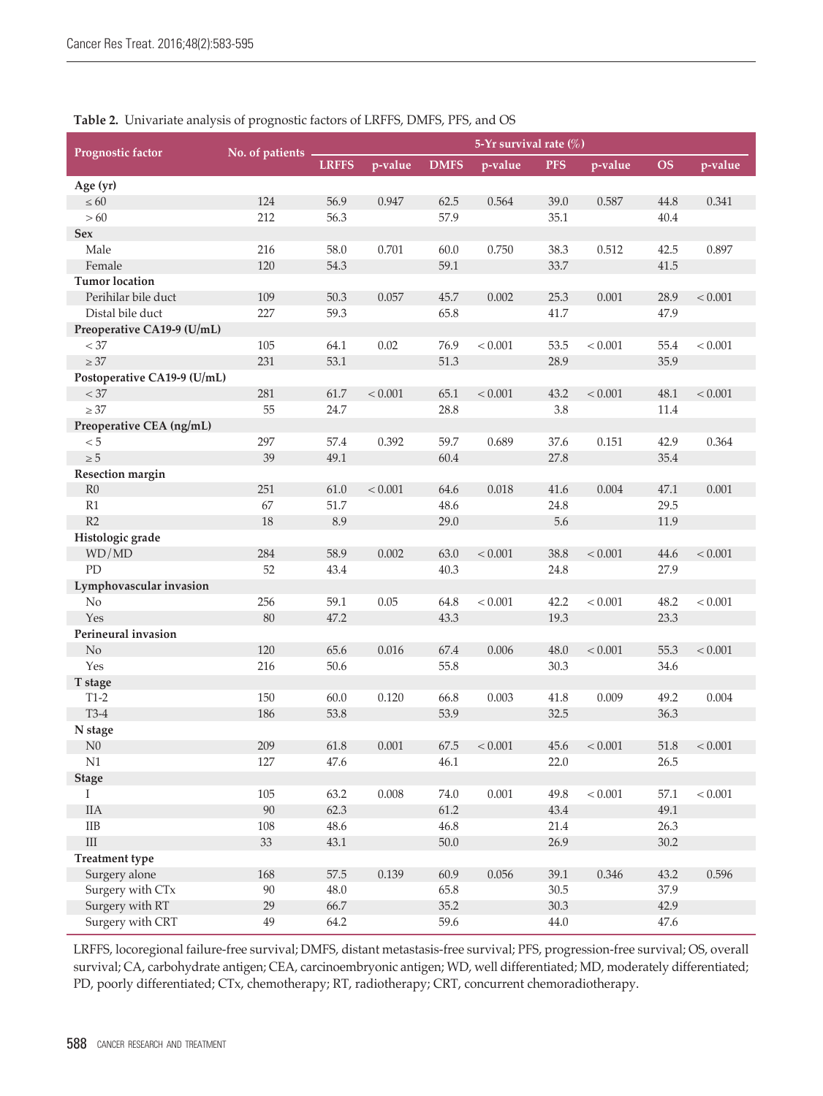|                             | $\circ$           |              |           |             | 5-Yr survival rate (%) |            |         |           |           |
|-----------------------------|-------------------|--------------|-----------|-------------|------------------------|------------|---------|-----------|-----------|
| Prognostic factor           | No. of patients - | <b>LRFFS</b> | p-value   | <b>DMFS</b> | p-value                | <b>PFS</b> | p-value | <b>OS</b> | p-value   |
| Age (yr)                    |                   |              |           |             |                        |            |         |           |           |
| $\leq 60$                   | 124               | 56.9         | 0.947     | 62.5        | 0.564                  | 39.0       | 0.587   | 44.8      | 0.341     |
| >60                         | 212               | 56.3         |           | 57.9        |                        | 35.1       |         | 40.4      |           |
| Sex                         |                   |              |           |             |                        |            |         |           |           |
| Male                        | 216               | 58.0         | 0.701     | 60.0        | 0.750                  | 38.3       | 0.512   | 42.5      | 0.897     |
| Female                      | 120               | 54.3         |           | 59.1        |                        | 33.7       |         | 41.5      |           |
| <b>Tumor</b> location       |                   |              |           |             |                        |            |         |           |           |
| Perihilar bile duct         | 109               | 50.3         | 0.057     | 45.7        | 0.002                  | 25.3       | 0.001   | 28.9      | < 0.001   |
| Distal bile duct            | 227               | 59.3         |           | 65.8        |                        | 41.7       |         | 47.9      |           |
| Preoperative CA19-9 (U/mL)  |                   |              |           |             |                        |            |         |           |           |
| < 37                        | 105               | 64.1         | 0.02      | 76.9        | < 0.001                | 53.5       | < 0.001 | 55.4      | < 0.001   |
| $\geq 37$                   | 231               | 53.1         |           | 51.3        |                        | 28.9       |         | 35.9      |           |
| Postoperative CA19-9 (U/mL) |                   |              |           |             |                        |            |         |           |           |
| $< 37\,$                    | 281               | 61.7         | < 0.001   | 65.1        | < 0.001                | 43.2       | < 0.001 | 48.1      | < 0.001   |
| $\geq 37$                   | 55                | 24.7         |           | 28.8        |                        | 3.8        |         | 11.4      |           |
| Preoperative CEA (ng/mL)    |                   |              |           |             |                        |            |         |           |           |
| $< 5\,$                     | 297               | 57.4         | 0.392     | 59.7        | 0.689                  | 37.6       | 0.151   | 42.9      | 0.364     |
| $\geq 5$                    | 39                | 49.1         |           | 60.4        |                        | 27.8       |         | 35.4      |           |
| Resection margin            |                   |              |           |             |                        |            |         |           |           |
| R <sub>0</sub>              | 251               | 61.0         | < 0.001   | 64.6        | 0.018                  | 41.6       | 0.004   | 47.1      | 0.001     |
| R1                          | 67                | 51.7         |           | 48.6        |                        | 24.8       |         | 29.5      |           |
| R2                          | 18                | 8.9          |           | 29.0        |                        | 5.6        |         | 11.9      |           |
| Histologic grade            |                   |              |           |             |                        |            |         |           |           |
| WD/MD                       | 284               | 58.9         | 0.002     | 63.0        | < 0.001                | 38.8       | < 0.001 | 44.6      | < 0.001   |
| PD                          | 52                | 43.4         |           | 40.3        |                        | 24.8       |         | 27.9      |           |
| Lymphovascular invasion     |                   |              |           |             |                        |            |         |           |           |
| No                          | 256               | 59.1         | 0.05      | 64.8        | < 0.001                | 42.2       | < 0.001 | 48.2      | < 0.001   |
| Yes                         | 80                | 47.2         |           | 43.3        |                        | 19.3       |         | 23.3      |           |
| Perineural invasion         |                   |              |           |             |                        |            |         |           |           |
| No                          | 120               | 65.6         | 0.016     | 67.4        | 0.006                  | 48.0       | < 0.001 | 55.3      | < 0.001   |
| Yes                         | 216               | 50.6         |           | 55.8        |                        | 30.3       |         | 34.6      |           |
| T stage                     |                   |              |           |             |                        |            |         |           |           |
| $T1-2$                      | 150               | 60.0         | 0.120     | 66.8        | 0.003                  | 41.8       | 0.009   | 49.2      | 0.004     |
| $T3-4$                      | 186               | 53.8         |           | 53.9        |                        | 32.5       |         | 36.3      |           |
| N stage                     |                   |              |           |             |                        |            |         |           |           |
| N <sub>0</sub>              | 209               | $61.8\,$     | $0.001\,$ | $67.5\,$    | $< 0.001$              | 45.6       | < 0.001 | 51.8      | $< 0.001$ |
| N <sub>1</sub>              | 127               | 47.6         |           | 46.1        |                        | 22.0       |         | 26.5      |           |
| <b>Stage</b>                |                   |              |           |             |                        |            |         |           |           |
| $\bf{I}$                    | 105               | 63.2         | 0.008     | 74.0        | 0.001                  | 49.8       | < 0.001 | 57.1      | < 0.001   |
| <b>IIA</b>                  | 90                | 62.3         |           | 61.2        |                        | 43.4       |         | 49.1      |           |
| $\rm IIB$                   | 108               | 48.6         |           | 46.8        |                        | 21.4       |         | 26.3      |           |
| $\rm III$                   | 33                | 43.1         |           | $50.0$      |                        | 26.9       |         | $30.2\,$  |           |
| <b>Treatment type</b>       |                   |              |           |             |                        |            |         |           |           |
| Surgery alone               | 168               | 57.5         | 0.139     | 60.9        | 0.056                  | 39.1       | 0.346   | 43.2      | 0.596     |
| Surgery with CTx            | 90                | $48.0\,$     |           | 65.8        |                        | $30.5\,$   |         | 37.9      |           |
| Surgery with RT             | 29                | 66.7         |           | 35.2        |                        | 30.3       |         | 42.9      |           |
| Surgery with CRT            | 49                | 64.2         |           | 59.6        |                        | 44.0       |         | 47.6      |           |

**Table 2.** Univariate analysis of prognostic factors of LRFFS, DMFS, PFS, and OS

LRFFS, locoregional failure-free survival; DMFS, distant metastasis-free survival; PFS, progression-free survival; OS, overall survival; CA, carbohydrate antigen; CEA, carcinoembryonic antigen; WD, well differentiated; MD, moderately differentiated; PD, poorly differentiated; CTx, chemotherapy; RT, radiotherapy; CRT, concurrent chemoradiotherapy.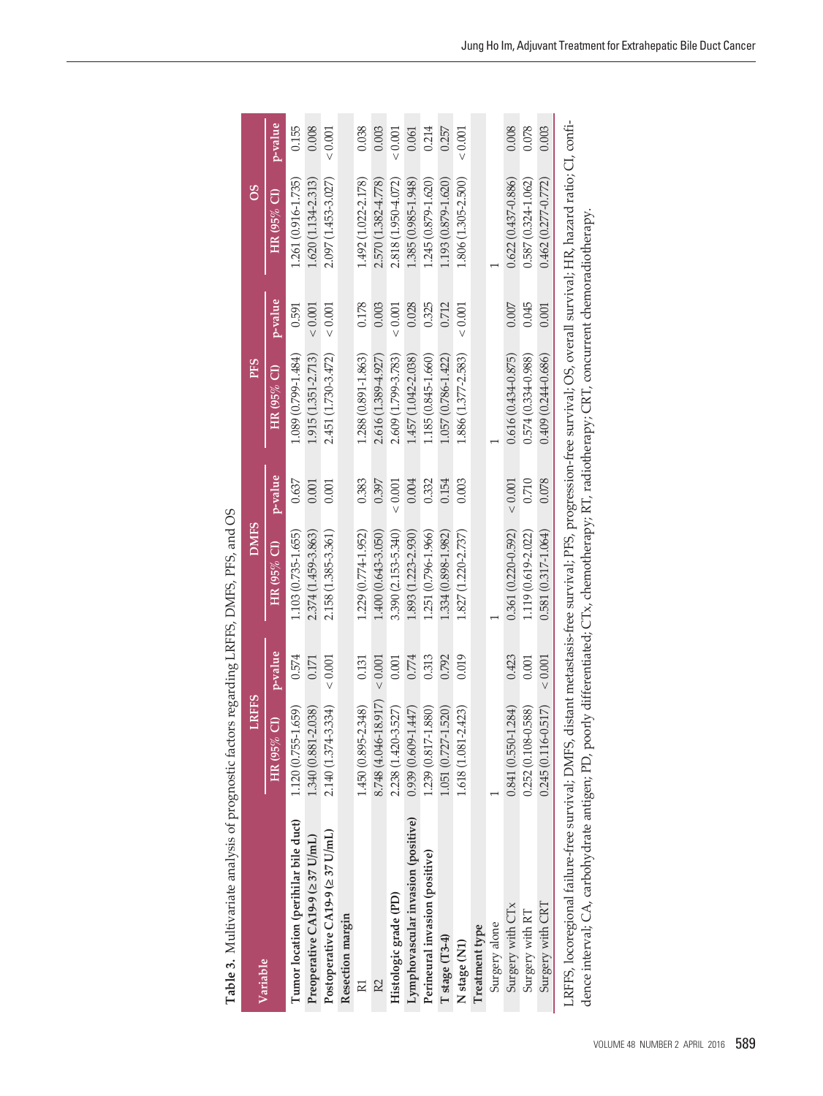| Variable                                                                                                                                                              | <b>LRFFS</b>                |         | DMFS                   |             | <b>PFS</b>             |         | 8O                     |         |
|-----------------------------------------------------------------------------------------------------------------------------------------------------------------------|-----------------------------|---------|------------------------|-------------|------------------------|---------|------------------------|---------|
|                                                                                                                                                                       | HR (95% CI)                 | p-value | HR $(95\%$ CI)         | p-value     | HR (95% CI)            | p-value | HR (95% CI)            | p-value |
| Tumor location (perihilar bile duct)                                                                                                                                  | .659<br>1.120 (0.755-1      | 0.574   | 1.103 (0.735-1.655)    | 0.637       | 1.089 (0.799-1.484)    | 0.591   | 1.261 (0.916-1.735)    | 0.155   |
| Preoperative CA19-9 (237 U/mL)                                                                                                                                        | 1.340 (0.881-2.038)         | 0.171   | 2.374 (1.459-3.863)    | 0.001       | 1.915 (1.351-2.713)    | < 0.001 | 1.620 (1.134-2.313)    | 0.008   |
| Postoperative CA19-9 (237 U/mL)                                                                                                                                       | 334)<br>2.140 (1.374-3      | < 0.001 | 2.158 (1.385-3.361)    | 0.001       | 2.451 (1.730-3.472)    | < 0.001 | 2.097 (1.453-3.027)    | < 0.001 |
| Resection margin                                                                                                                                                      |                             |         |                        |             |                        |         |                        |         |
| R1                                                                                                                                                                    | 1.450 (0.895-2.348)         | 0.131   | 1.229 (0.774-1.952)    | 0.383       | 1.288 (0.891-1.863)    | 0.178   | 1.492 (1.022-2.178)    | 0.038   |
| R2                                                                                                                                                                    | 8.748 (4.046-18.917)        | < 0.001 | 1.400 (0.643-3.050)    | 0.397       | 2.616 (1.389-4.927)    | 0.003   | 2.570 (1.382-4.778)    | 0.003   |
| Histologic grade (PD)                                                                                                                                                 | 1.527)<br>2.238 (1.420-3    | 0.001   | 3.390 (2.153-5.340)    | < 0.001     | 2.609 (1.799-3.783)    | < 0.001 | 2.818 (1.950-4.072)    | < 0.001 |
| Lymphovascular invasion (positive)                                                                                                                                    | .447<br>$0.939(0.609-1)$    | 0.774   | 1.893 (1.223-2.930)    | 0.004       | 1.457 (1.042-2.038)    | 0.028   | 1.385 (0.985-1.948)    | 0.061   |
| Perineural invasion (positive)                                                                                                                                        | .880)<br>1.239 (0.817-1     | 0.313   | 1.251 (0.796-1.966)    | 0.332       | 1.185 (0.845-1.660)    | 0.325   | 1.245 (0.879-1.620)    | 0.214   |
| T stage (T3-4)                                                                                                                                                        | 520)<br>1.051 (0.727-1      | 0.792   | 1.334 (0.898-1.982)    | 0.154       | 1.057 (0.786-1.422)    | 0.712   | 1.193 (0.879-1.620)    | 0.257   |
| N stage (N1)                                                                                                                                                          | .423<br>1.618 (1.081-2      | 0.019   | 1.827 (1.220-2.737)    | 0.003       | 1.886 (1.377-2.583)    | < 0.001 | 1.806 (1.305-2.500)    | < 0.001 |
| Treatment type                                                                                                                                                        |                             |         |                        |             |                        |         |                        |         |
| Surgery alone                                                                                                                                                         |                             |         |                        |             |                        |         |                        |         |
| Surgery with CTx                                                                                                                                                      | $0.841(0.550 - 1.284)$      | 0.423   | $0.361(0.220 - 0.592)$ | ${}< 0.001$ | $0.616(0.434 - 0.875)$ | 0.007   | $0.622(0.437 - 0.886)$ | 0.008   |
| Surgery with RT                                                                                                                                                       | .588)<br>$0.252(0.108 - 0)$ | 0.001   | 1.119 (0.619-2.022)    | 0.710       | 0.574 (0.334-0.988)    | 0.045   | 0.587 (0.324-1.062)    | 0.078   |
| Surgery with CRT                                                                                                                                                      | .517)<br>0.245 (0.116-0     | < 0.001 | $0.581(0.317 - 1.064)$ | 0.078       | $0.409(0.244 - 0.686)$ | 0.001   | $0.462(0.277 - 0.772)$ | 0.003   |
| LRFFS, locoregional failure-free survival; DMFS, distant metastasis-free survival; PFS, progression-free survival; OS, overall survival; HR, hazard ratio; CI, confi- |                             |         |                        |             |                        |         |                        |         |

**Table 3.** M ultivariate analysis of prog nostic factors regardin ρċ L R F FS, D M FS, P FS, an d රි

dence interval; C A, carboh y drate antigen; P D, poorly differentiated; C Tx, chemotherap y; R T, radiotherap y; C R T, concurrent chemoradiotherap  $\dot{\succ}$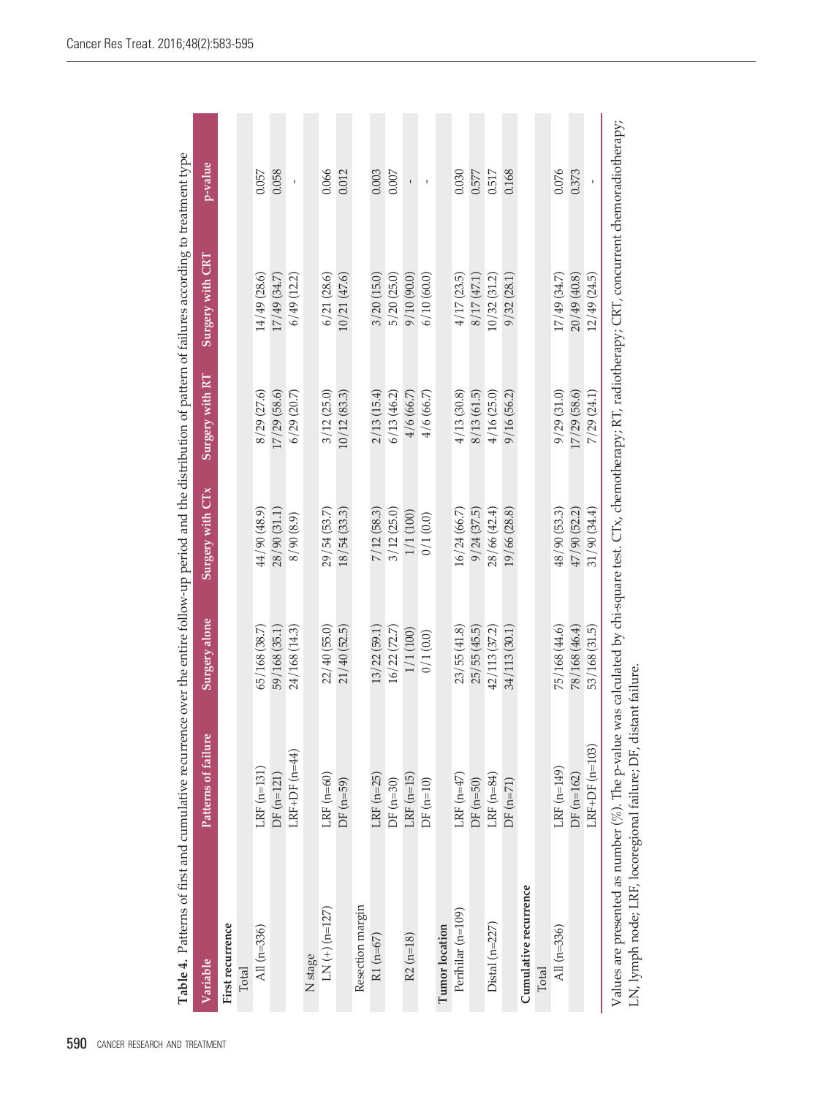| Table 4. Patterns of first and cumulative recurrence over the entire follow-up period and the distribution of pattern of failures according to treatment type                                                                 |                     |                      |                  |                 |                  |         |
|-------------------------------------------------------------------------------------------------------------------------------------------------------------------------------------------------------------------------------|---------------------|----------------------|------------------|-----------------|------------------|---------|
| Variable                                                                                                                                                                                                                      | Patterns of failure | <b>Surgery alone</b> | Surgery with CTx | Surgery with RT | Surgery with CRT | p-value |
| First recurrence                                                                                                                                                                                                              |                     |                      |                  |                 |                  |         |
| Total                                                                                                                                                                                                                         |                     |                      |                  |                 |                  |         |
| All (n=336)                                                                                                                                                                                                                   | $LRF$ (n=131)       | 65/168 (38.7)        | 44/90 (48.9)     | 8/29 (27.6)     | 14/49 (28.6)     | 0.057   |
|                                                                                                                                                                                                                               | $DF(m=121)$         | 59/168 (35.1)        | 28/90 (31.1)     | 17/29 (58.6)    | 17/49 (34.7)     | 0.058   |
|                                                                                                                                                                                                                               | LRF+DF $(n=44)$     | 24/168 (14.3)        | 8/90(8.9)        | $6/29$ $(20.7)$ | 6/49 (12.2)      |         |
| N <sub>stage</sub>                                                                                                                                                                                                            |                     |                      |                  |                 |                  |         |
| $LN(+)(n=127)$                                                                                                                                                                                                                | LRF $(n=60)$        | 22/40 (55.0)         | 29/54 (53.7)     | 3/12(25.0)      | 6/21(28.6)       | 0.066   |
|                                                                                                                                                                                                                               | $DF(n=59)$          | 21/40 (52.5)         | 18/54(33.3)      | 10/12(83.3)     | 10/21(47.6)      | 0.012   |
| Resection margin                                                                                                                                                                                                              |                     |                      |                  |                 |                  |         |
| $R1(n=67)$                                                                                                                                                                                                                    | $LRF$ ( $n=25$ )    | 13/22 (59.1)         | 7/12 (58.3)      | 2/13(15.4)      | 3/20(15.0)       | 0.003   |
|                                                                                                                                                                                                                               | $DF(n=30)$          | 16/22(72.7)          | 3/12(25.0)       | 6/13(46.2)      | 5/20(25.0)       | 0.007   |
| $R2 (n=18)$                                                                                                                                                                                                                   | $LRF$ $(n=15)$      | 1/1 (100)            | 1/1 (100)        | 4/6(66.7)       | 9/10(90.0)       |         |
|                                                                                                                                                                                                                               | $DF(n=10)$          | 0/1(0.0)             | 0/1(0.0)         | 4/6(66.7)       | 6/10(60.0)       |         |
| Tumor location                                                                                                                                                                                                                |                     |                      |                  |                 |                  |         |
| Perihilar (n=109)                                                                                                                                                                                                             | LRF $(n=47)$        | 23/55(41.8)          | 16/24 (66.7)     | 4/13 (30.8)     | 4/17(23.5)       | 0.030   |
|                                                                                                                                                                                                                               | $DF(n=50)$          | 25/55(45.5)          | 9/24(37.5)       | 8/13 (61.5)     | 8/17(47.1)       | 0.577   |
| Distal (n=227)                                                                                                                                                                                                                | LRF $(n=84)$        | 42/113 (37.2)        | 28/66 (42.4)     | 4/16(25.0)      | 10/32(31.2)      | 0.517   |
|                                                                                                                                                                                                                               | $DF(n=71)$          | 34/113 (30.1         | 19/66 (28.8)     | 9/16 (56.2)     | 9/32(28.1)       | 0.168   |
| Cumulative recurrence<br>Total                                                                                                                                                                                                |                     |                      |                  |                 |                  |         |
| All (n=336)                                                                                                                                                                                                                   | $LRF(n=149)$        | 75/168 (44.6)        | 48/90 (53.3)     | 9/29(31.0)      | 17/49 (34.7)     | 0.076   |
|                                                                                                                                                                                                                               | $DF(n=162)$         | 78/168 (46.4)        | 47/90 (52.2)     | 17/29 (58.6)    | 20/49(40.8)      | 0.373   |
|                                                                                                                                                                                                                               | LRF+DF $(n=103)$    | 53/168 (31.5)        | 31/90(34.4)      | 7/29(24.1)      | 12/49 (24.5)     |         |
| Values are presented as number (%). The p-value was calculated by chi-square test. CTx, chemotherapy; RT, radiotherapy; CRT, concurrent chemoradiotherapy;<br>LN, lymph node; LRF, locoregional failure; DF, distant failure. |                     |                      |                  |                 |                  |         |

Cancer Res Treat. 2016;48(2):583-595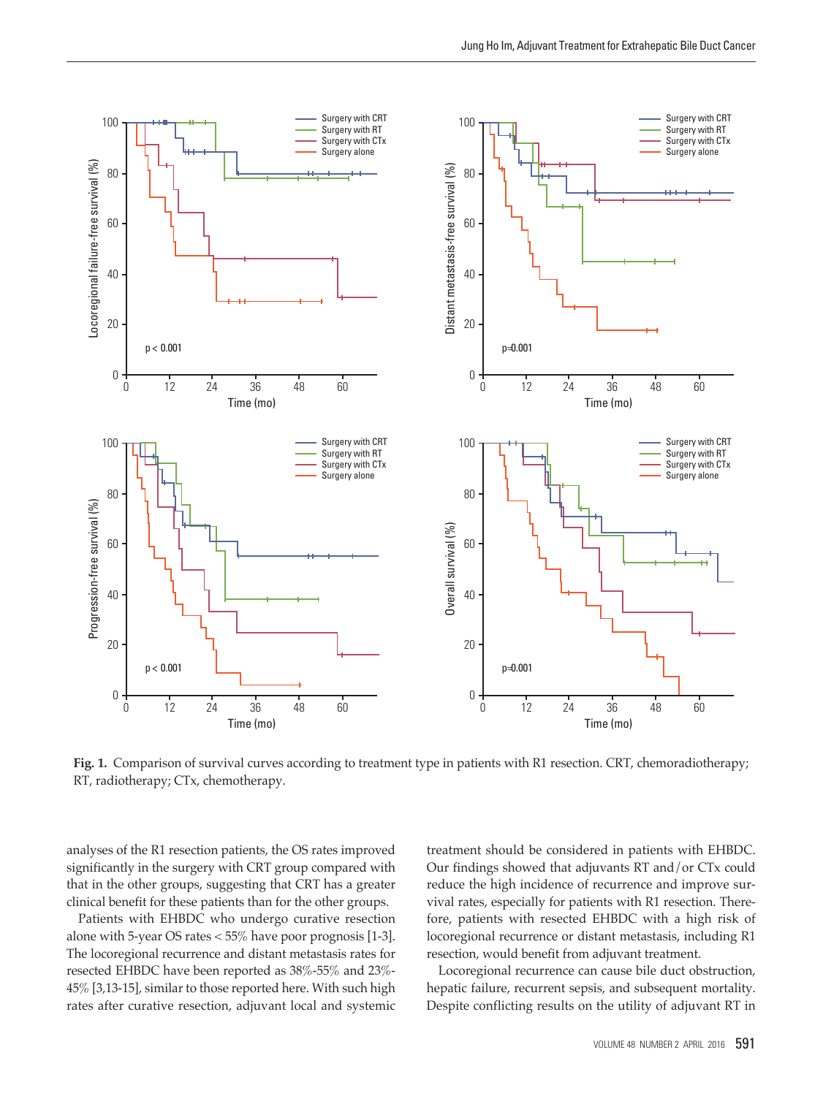

**Fig. 1.** Comparison of survival curves according to treatment type in patients with R1 resection. CRT, chemoradiotherapy; RT, radiotherapy; CTx, chemotherapy.

analyses of the R1 resection patients, the OS rates improved significantly in the surgery with CRT group compared with that in the other groups, suggesting that CRT has a greater clinical benefit for these patients than for the other groups.

Patients with EHBDC who undergo curative resection alone with 5-year OS rates < 55% have poor prognosis [1-3]. The locoregional recurrence and distant metastasis rates for resected EHBDC have been reported as 38%-55% and 23%- 45% [3,13-15], similar to those reported here. With such high rates after curative resection, adjuvant local and systemic

treatment should be considered in patients with EHBDC. Our findings showed that adjuvants RT and/or CTx could reduce the high incidence of recurrence and improve survival rates, especially for patients with R1 resection. Therefore, patients with resected EHBDC with a high risk of locoregional recurrence or distant metastasis, including R1 resection, would benefit from adjuvant treatment.

Locoregional recurrence can cause bile duct obstruction, hepatic failure, recurrent sepsis, and subsequent mortality. Despite conflicting results on the utility of adjuvant RT in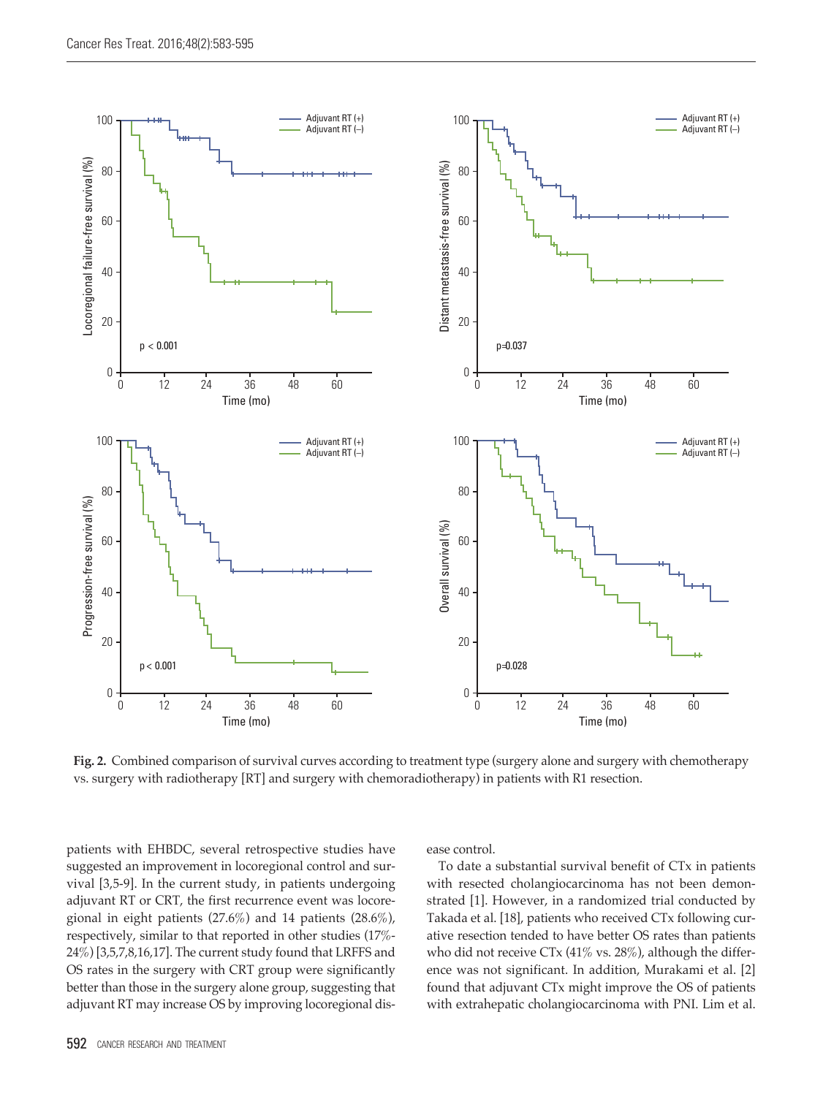

**Fig. 2.** Combined comparison of survival curves according to treatment type (surgery alone and surgery with chemotherapy vs. surgery with radiotherapy [RT] and surgery with chemoradiotherapy) in patients with R1 resection.

patients with EHBDC, several retrospective studies have suggested an improvement in locoregional control and survival [3,5-9]. In the current study, in patients undergoing adjuvant RT or CRT, the first recurrence event was locoregional in eight patients  $(27.6\%)$  and 14 patients  $(28.6\%)$ , respectively, similar to that reported in other studies (17%- 24%) [3,5,7,8,16,17]. The current study found that LRFFS and OS rates in the surgery with CRT group were significantly better than those in the surgery alone group, suggesting that adjuvant RT may increase OS by improving locoregional dis-

ease control.

To date a substantial survival benefit of CTx in patients with resected cholangiocarcinoma has not been demonstrated [1]. However, in a randomized trial conducted by Takada et al. [18], patients who received CTx following curative resection tended to have better OS rates than patients who did not receive CTx (41% vs. 28%), although the difference was not significant. In addition, Murakami et al. [2] found that adjuvant CTx might improve the OS of patients with extrahepatic cholangiocarcinoma with PNI. Lim et al.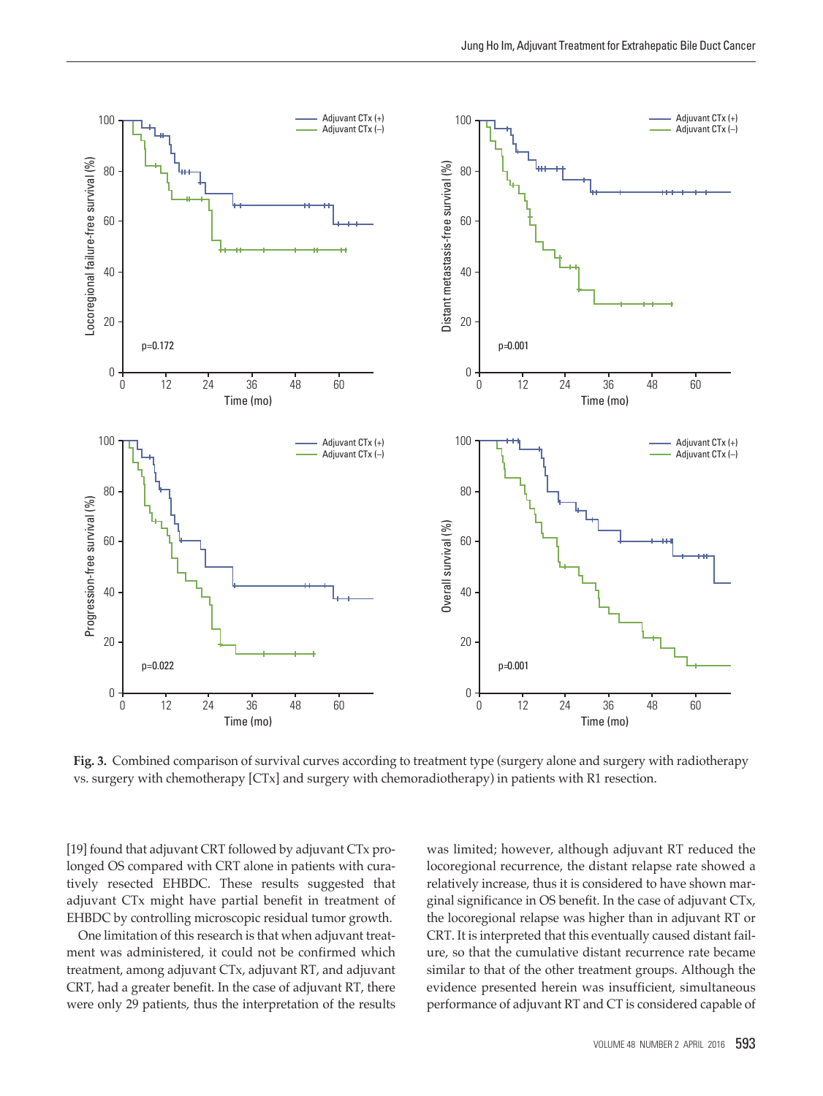

**Fig. 3.** Combined comparison of survival curves according to treatment type (surgery alone and surgery with radiotherapy vs. surgery with chemotherapy [CTx] and surgery with chemoradiotherapy) in patients with R1 resection.

[19] found that adjuvant CRT followed by adjuvant CTx prolonged OS compared with CRT alone in patients with curatively resected EHBDC. These results suggested that adjuvant CTx might have partial benefit in treatment of EHBDC by controlling microscopic residual tumor growth.

One limitation of this research is that when adjuvant treatment was administered, it could not be confirmed which treatment, among adjuvant CTx, adjuvant RT, and adjuvant CRT, had a greater benefit. In the case of adjuvant RT, there were only 29 patients, thus the interpretation of the results

was limited; however, although adjuvant RT reduced the locoregional recurrence, the distant relapse rate showed a relatively increase, thus it is considered to have shown marginal significance in OS benefit. In the case of adjuvant CTx, the locoregional relapse was higher than in adjuvant RT or CRT. It is interpreted that this eventually caused distant failure, so that the cumulative distant recurrence rate became similar to that of the other treatment groups. Although the evidence presented herein was insufficient, simultaneous performance of adjuvant RT and CT is considered capable of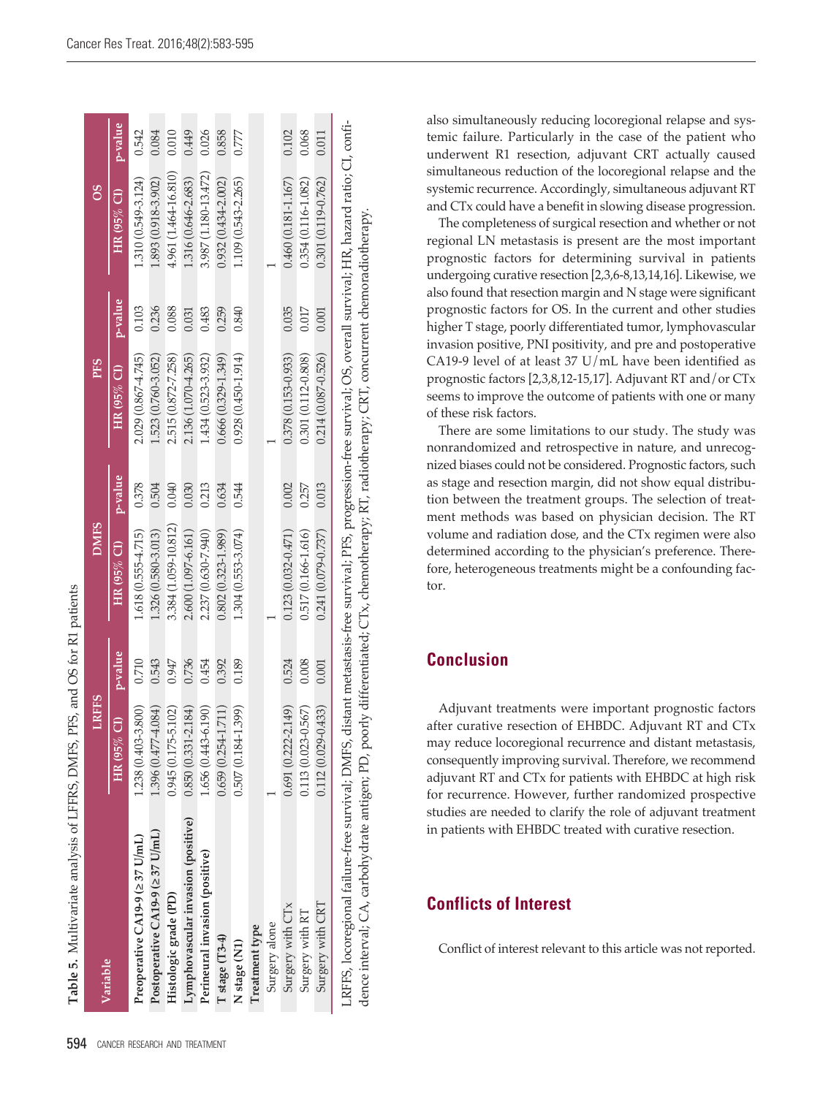|                                                                                                                                                                                                                                                                                                                        | <b>RFFS</b>                  |         | <b>DMFS</b>            |         | <b>PFS</b>             |         | 8O                     |         |
|------------------------------------------------------------------------------------------------------------------------------------------------------------------------------------------------------------------------------------------------------------------------------------------------------------------------|------------------------------|---------|------------------------|---------|------------------------|---------|------------------------|---------|
| Variable                                                                                                                                                                                                                                                                                                               | HR (95% CI)                  | p-value | HR (95% CI)            | p-value | HR (95% CI)            | p-value | HR $(95\%$ Cl)         | p-value |
| Preoperative CA19-9 (237 U/mL)                                                                                                                                                                                                                                                                                         | 1.238 (0.403-3.800)          | 0.710   | 1.618 (0.555-4.715)    | 0.378   | 2.029 (0.867-4.745)    | 0.103   | 1.310 (0.549-3.124)    | 0.542   |
| Postoperative CA19-9 (237 U/mL)                                                                                                                                                                                                                                                                                        | 1.396 (0.477-4.084)          | 0.543   | 1.326 (0.580-3.013)    | 0.504   | 1.523 (0.760-3.052)    | 0.236   | 1.893 (0.918-3.902)    | 0.084   |
| Histologic grade (PD)                                                                                                                                                                                                                                                                                                  | $0.945(0.175 - 5.102)$       | 0.947   | 3.384 (1.059-10.812)   | 0.040   | 2.515 (0.872-7.258)    | 0.088   | 4.961 (1.464-16.810)   | 0.010   |
| Lymphovascular invasion (positive)                                                                                                                                                                                                                                                                                     | 184)<br>$0.850(0.331 - 2.1)$ | 0.736   | 2.600 (1.097-6.161)    | 0.030   | 2.136 (1.070-4.265)    | 0.031   | 1.316 (0.646-2.683)    | 0.449   |
| Perineural invasion (positive)                                                                                                                                                                                                                                                                                         | 1.656 (0.443-6.190)          | 0.454   | 2.237 (0.630-7.940)    | 0.213   | 1.434 (0.523-3.932)    | 0.483   | 3.987 (1.180-13.472)   | 0.026   |
| T stage (T3-4)                                                                                                                                                                                                                                                                                                         | $0.659(0.254 - 1.711)$       | 0.392   | $0.802(0.323 - 1.989)$ | 0.634   | $0.666(0.329 - 1.349)$ | 0.259   | $0.932(0.434 - 2.002)$ | 0.858   |
| N stage (N1)                                                                                                                                                                                                                                                                                                           | $0.507(0.184 - 1.399)$       | 0.189   | 1.304 (0.553-3.074)    | 0.544   | $0.928(0.450 - 1.914)$ | 0.840   | 1.109 (0.543-2.265)    | 0.777   |
| Treatment type                                                                                                                                                                                                                                                                                                         |                              |         |                        |         |                        |         |                        |         |
| Surgery alone                                                                                                                                                                                                                                                                                                          |                              |         |                        |         |                        |         |                        |         |
| Surgery with CTx                                                                                                                                                                                                                                                                                                       | $0.691(0.222 - 2.149)$       | 0.524   | $0.123(0.032 - 0.471)$ | 0.002   | $0.378(0.153 - 0.933)$ | 0.035   | $0.460(0.181 - 1.167)$ | 0.102   |
| Surgery with RT                                                                                                                                                                                                                                                                                                        | $0.113(0.023 - 0.567)$       | 0.008   | $0.517(0.166 - 1.616)$ | 0.257   | 0.301 (0.112-0.808)    | 0.017   | 0.354 (0.116-1.082)    | 0.068   |
| Surgery with CRT                                                                                                                                                                                                                                                                                                       | $0.112(0.029 - 0.433)$       | 0.001   | $0.241(0.079 - 0.737)$ | 0.013   | $0.214(0.087 - 0.526)$ | 0.001   | $0.301(0.119 - 0.762)$ | 0.011   |
| . RFFS, locoregional failure-free survival; DMFS, distant metastasis-free survival; PFS, progression-free survival; OS, overall survival; HR, hazard ratio; CI, confi-<br>dence interval; CA, carbohydrate antigen; PD, poorly differentiated; CTx, chemotherapy; RT, radiotherapy; CRT, concurrent chemoradiotherapy; |                              |         |                        |         |                        |         |                        |         |

also simultaneously reducing locoregional relapse and systemic failure. Particularly in the case of the patient who underwent R1 resection, adjuvant CRT actually caused simultaneous reduction of the locoregional relapse and the systemic recurrence. Accordingly, simultaneous adjuvant RT and CTx could have a benefit in slowing disease progression.

The completeness of surgical resection and whether or not regional LN metastasis is present are the most important prognostic factors for determining survival in patients undergoing curative resection [2,3,6-8,13,14,16]. Likewise, we also found that resection margin and N stage were significant prognostic factors for OS. In the current and other studies higher T stage, poorly differentiated tumor, lymphovascular invasion positive, PNI positivity, and pre and postoperative CA19-9 level of at least 37 U/mL have been identified as prognostic factors [2,3,8,12-15,17]. Adjuvant RT and/or CTx seems to improve the outcome of patients with one or many of these risk factors.

There are some limitations to our study. The study was nonrandomized and retrospective in nature, and unrecognized biases could not be considered. Prognostic factors, such as stage and resection margin, did not show equal distribution between the treatment groups. The selection of treatment methods was based on physician decision. The RT volume and radiation dose, and the CTx regimen were also determined according to the physician's preference. Therefore, heterogeneous treatments might be a confounding factor.

# **Conclusion**

Adjuvant treatments were important prognostic factors after curative resection of EHBDC. Adjuvant RT and CTx may reduce locoregional recurrence and distant metastasis, consequently improving survival. Therefore, we recommend adjuvant RT and CTx for patients with EHBDC at high risk for recurrence. However, further randomized prospective studies are needed to clarify the role of adjuvant treatment in patients with EHBDC treated with curative resection.

# **Conflicts of Interest**

Conflict of interest relevant to this article was not reported.